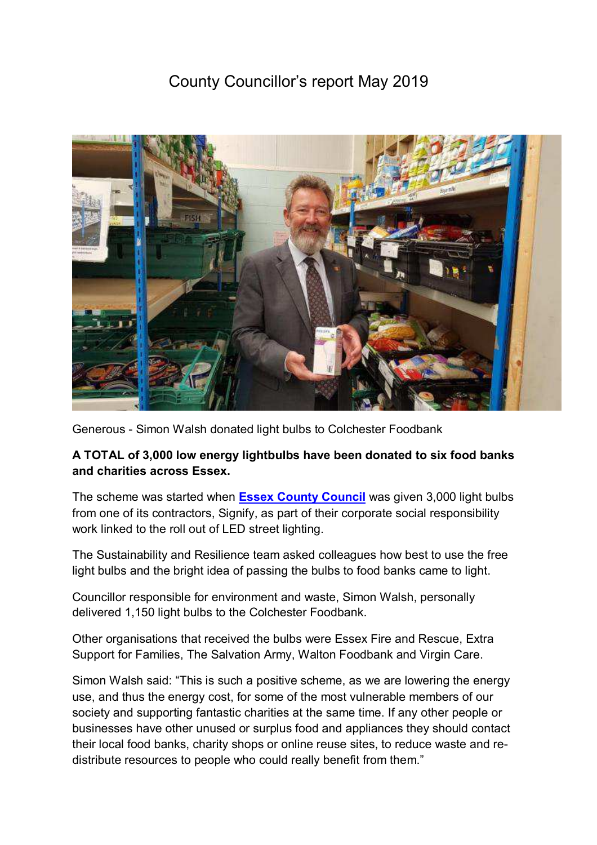# County Councillor's report May 2019



Generous - Simon Walsh donated light bulbs to Colchester Foodbank

## **A TOTAL of 3,000 low energy lightbulbs have been donated to six food banks and charities across Essex.**

The scheme was started when **Essex County Council** was given 3,000 light bulbs from one of its contractors, Signify, as part of their corporate social responsibility work linked to the roll out of LED street lighting.

The Sustainability and Resilience team asked colleagues how best to use the free light bulbs and the bright idea of passing the bulbs to food banks came to light.

Councillor responsible for environment and waste, Simon Walsh, personally delivered 1,150 light bulbs to the Colchester Foodbank.

Other organisations that received the bulbs were Essex Fire and Rescue, Extra Support for Families, The Salvation Army, Walton Foodbank and Virgin Care.

Simon Walsh said: "This is such a positive scheme, as we are lowering the energy use, and thus the energy cost, for some of the most vulnerable members of our society and supporting fantastic charities at the same time. If any other people or businesses have other unused or surplus food and appliances they should contact their local food banks, charity shops or online reuse sites, to reduce waste and redistribute resources to people who could really benefit from them."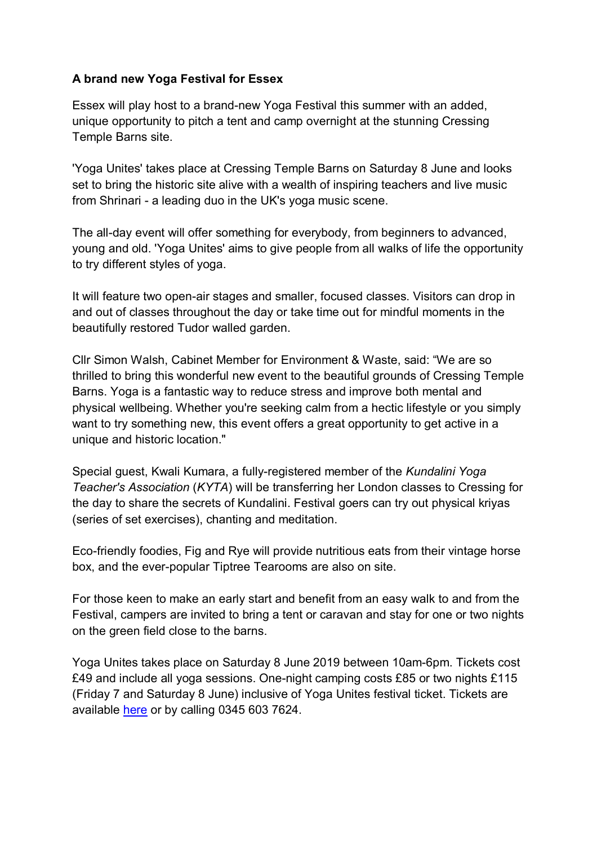## **A brand new Yoga Festival for Essex**

Essex will play host to a brand-new Yoga Festival this summer with an added, unique opportunity to pitch a tent and camp overnight at the stunning Cressing Temple Barns site.

'Yoga Unites' takes place at Cressing Temple Barns on Saturday 8 June and looks set to bring the historic site alive with a wealth of inspiring teachers and live music from Shrinari - a leading duo in the UK's yoga music scene.

The all-day event will offer something for everybody, from beginners to advanced, young and old. 'Yoga Unites' aims to give people from all walks of life the opportunity to try different styles of yoga.

It will feature two open-air stages and smaller, focused classes. Visitors can drop in and out of classes throughout the day or take time out for mindful moments in the beautifully restored Tudor walled garden.

Cllr Simon Walsh, Cabinet Member for Environment & Waste, said: "We are so thrilled to bring this wonderful new event to the beautiful grounds of Cressing Temple Barns. Yoga is a fantastic way to reduce stress and improve both mental and physical wellbeing. Whether you're seeking calm from a hectic lifestyle or you simply want to try something new, this event offers a great opportunity to get active in a unique and historic location."

Special guest, Kwali Kumara, a fully-registered member of the *Kundalini Yoga Teacher's Association* (*KYTA*) will be transferring her London classes to Cressing for the day to share the secrets of Kundalini. Festival goers can try out physical kriyas (series of set exercises), chanting and meditation.

Eco-friendly foodies, Fig and Rye will provide nutritious eats from their vintage horse box, and the ever-popular Tiptree Tearooms are also on site.

For those keen to make an early start and benefit from an easy walk to and from the Festival, campers are invited to bring a tent or caravan and stay for one or two nights on the green field close to the barns.

Yoga Unites takes place on Saturday 8 June 2019 between 10am-6pm. Tickets cost £49 and include all yoga sessions. One-night camping costs £85 or two nights £115 (Friday 7 and Saturday 8 June) inclusive of Yoga Unites festival ticket. Tickets are available here or by calling 0345 603 7624.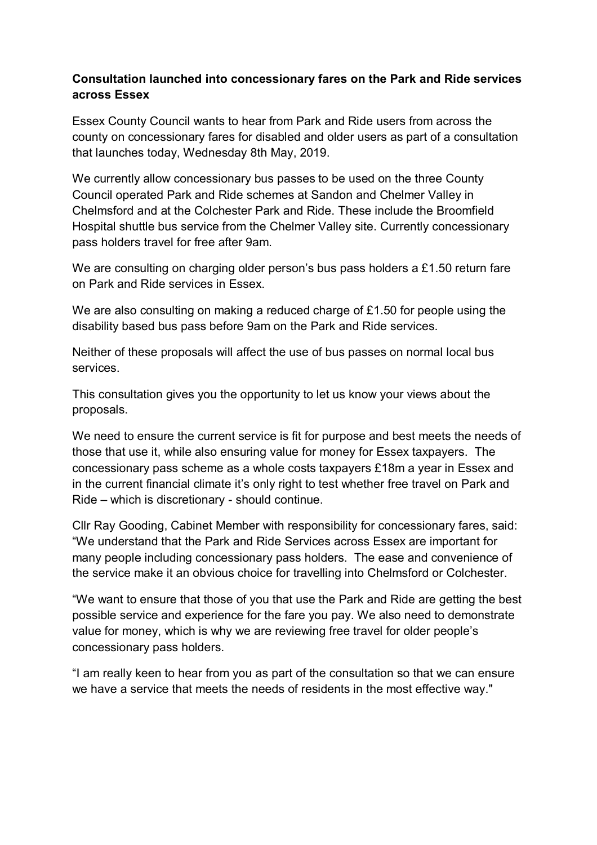## **Consultation launched into concessionary fares on the Park and Ride services across Essex**

Essex County Council wants to hear from Park and Ride users from across the county on concessionary fares for disabled and older users as part of a consultation that launches today, Wednesday 8th May, 2019.

We currently allow concessionary bus passes to be used on the three County Council operated Park and Ride schemes at Sandon and Chelmer Valley in Chelmsford and at the Colchester Park and Ride. These include the Broomfield Hospital shuttle bus service from the Chelmer Valley site. Currently concessionary pass holders travel for free after 9am.

We are consulting on charging older person's bus pass holders a £1.50 return fare on Park and Ride services in Essex.

We are also consulting on making a reduced charge of £1.50 for people using the disability based bus pass before 9am on the Park and Ride services.

Neither of these proposals will affect the use of bus passes on normal local bus services.

This consultation gives you the opportunity to let us know your views about the proposals.

We need to ensure the current service is fit for purpose and best meets the needs of those that use it, while also ensuring value for money for Essex taxpayers. The concessionary pass scheme as a whole costs taxpayers £18m a year in Essex and in the current financial climate it's only right to test whether free travel on Park and Ride – which is discretionary - should continue.

Cllr Ray Gooding, Cabinet Member with responsibility for concessionary fares, said: "We understand that the Park and Ride Services across Essex are important for many people including concessionary pass holders. The ease and convenience of the service make it an obvious choice for travelling into Chelmsford or Colchester.

"We want to ensure that those of you that use the Park and Ride are getting the best possible service and experience for the fare you pay. We also need to demonstrate value for money, which is why we are reviewing free travel for older people's concessionary pass holders.

"I am really keen to hear from you as part of the consultation so that we can ensure we have a service that meets the needs of residents in the most effective way."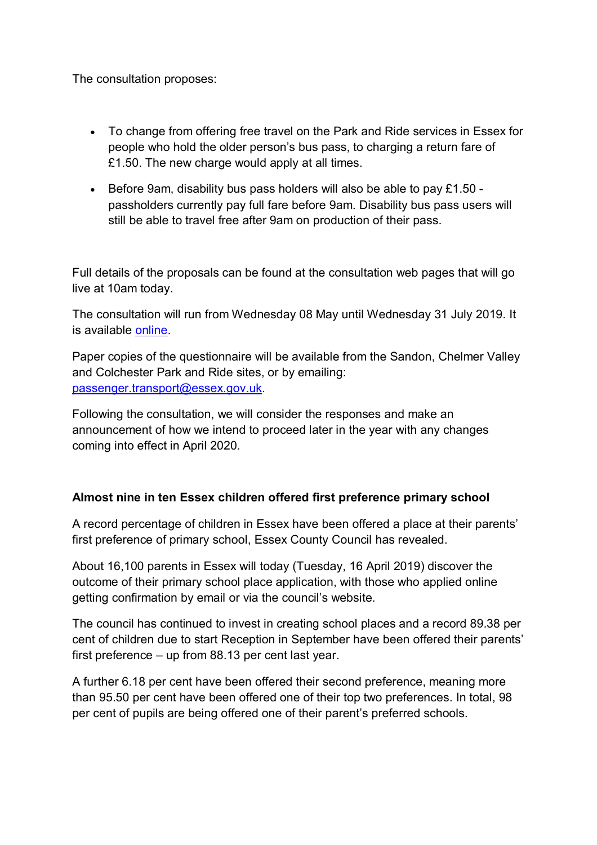The consultation proposes:

- To change from offering free travel on the Park and Ride services in Essex for people who hold the older person's bus pass, to charging a return fare of £1.50. The new charge would apply at all times.
- Before 9am, disability bus pass holders will also be able to pay  $£1.50$ passholders currently pay full fare before 9am. Disability bus pass users will still be able to travel free after 9am on production of their pass.

Full details of the proposals can be found at the consultation web pages that will go live at 10am today.

The consultation will run from Wednesday 08 May until Wednesday 31 July 2019. It is available online.

Paper copies of the questionnaire will be available from the Sandon, Chelmer Valley and Colchester Park and Ride sites, or by emailing: passenger.transport@essex.gov.uk.

Following the consultation, we will consider the responses and make an announcement of how we intend to proceed later in the year with any changes coming into effect in April 2020.

#### **Almost nine in ten Essex children offered first preference primary school**

A record percentage of children in Essex have been offered a place at their parents' first preference of primary school, Essex County Council has revealed.

About 16,100 parents in Essex will today (Tuesday, 16 April 2019) discover the outcome of their primary school place application, with those who applied online getting confirmation by email or via the council's website.

The council has continued to invest in creating school places and a record 89.38 per cent of children due to start Reception in September have been offered their parents' first preference – up from 88.13 per cent last year.

A further 6.18 per cent have been offered their second preference, meaning more than 95.50 per cent have been offered one of their top two preferences. In total, 98 per cent of pupils are being offered one of their parent's preferred schools.